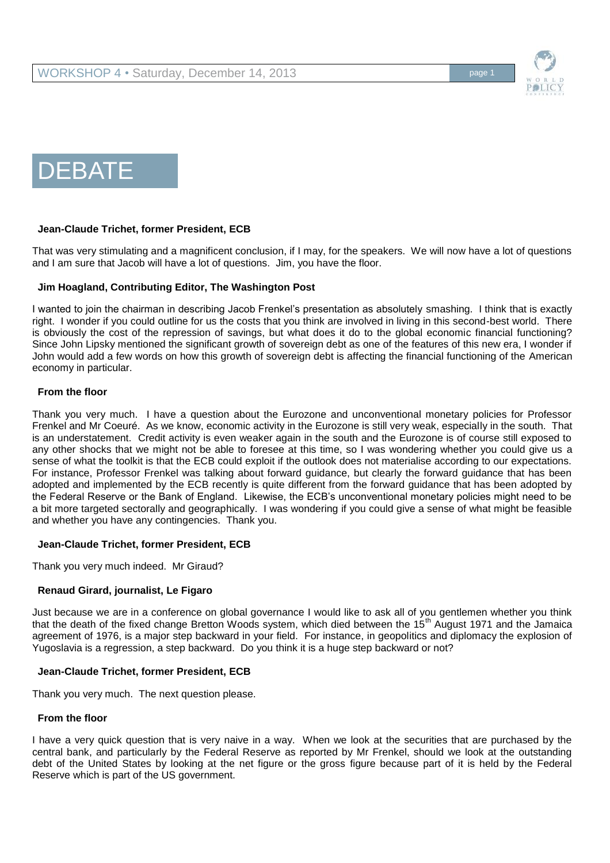



## **Jean-Claude Trichet, former President, ECB**

That was very stimulating and a magnificent conclusion, if I may, for the speakers. We will now have a lot of questions and I am sure that Jacob will have a lot of questions. Jim, you have the floor.

## **Jim Hoagland, Contributing Editor, The Washington Post**

I wanted to join the chairman in describing Jacob Frenkel's presentation as absolutely smashing. I think that is exactly right. I wonder if you could outline for us the costs that you think are involved in living in this second-best world. There is obviously the cost of the repression of savings, but what does it do to the global economic financial functioning? Since John Lipsky mentioned the significant growth of sovereign debt as one of the features of this new era, I wonder if John would add a few words on how this growth of sovereign debt is affecting the financial functioning of the American economy in particular.

## **From the floor**

Thank you very much. I have a question about the Eurozone and unconventional monetary policies for Professor Frenkel and Mr Coeuré. As we know, economic activity in the Eurozone is still very weak, especially in the south. That is an understatement. Credit activity is even weaker again in the south and the Eurozone is of course still exposed to any other shocks that we might not be able to foresee at this time, so I was wondering whether you could give us a sense of what the toolkit is that the ECB could exploit if the outlook does not materialise according to our expectations. For instance, Professor Frenkel was talking about forward guidance, but clearly the forward guidance that has been adopted and implemented by the ECB recently is quite different from the forward guidance that has been adopted by the Federal Reserve or the Bank of England. Likewise, the ECB's unconventional monetary policies might need to be a bit more targeted sectorally and geographically. I was wondering if you could give a sense of what might be feasible and whether you have any contingencies. Thank you.

## **Jean-Claude Trichet, former President, ECB**

Thank you very much indeed. Mr Giraud?

## **Renaud Girard, journalist, Le Figaro**

Just because we are in a conference on global governance I would like to ask all of you gentlemen whether you think that the death of the fixed change Bretton Woods system, which died between the 15<sup>th</sup> August 1971 and the Jamaica agreement of 1976, is a major step backward in your field. For instance, in geopolitics and diplomacy the explosion of Yugoslavia is a regression, a step backward. Do you think it is a huge step backward or not?

## **Jean-Claude Trichet, former President, ECB**

Thank you very much. The next question please.

## **From the floor**

I have a very quick question that is very naive in a way. When we look at the securities that are purchased by the central bank, and particularly by the Federal Reserve as reported by Mr Frenkel, should we look at the outstanding debt of the United States by looking at the net figure or the gross figure because part of it is held by the Federal Reserve which is part of the US government.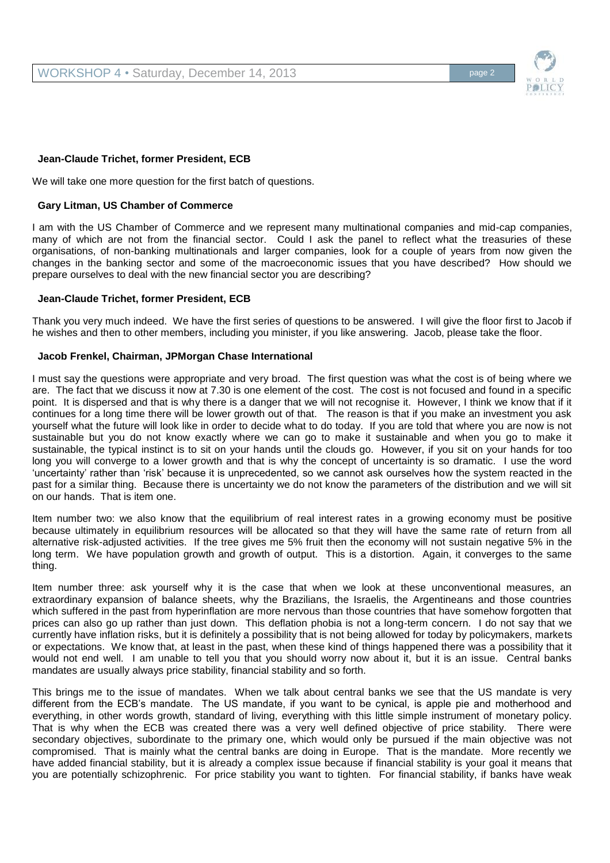## **Jean-Claude Trichet, former President, ECB**

We will take one more question for the first batch of questions.

## **Gary Litman, US Chamber of Commerce**

I am with the US Chamber of Commerce and we represent many multinational companies and mid-cap companies, many of which are not from the financial sector. Could I ask the panel to reflect what the treasuries of these organisations, of non-banking multinationals and larger companies, look for a couple of years from now given the changes in the banking sector and some of the macroeconomic issues that you have described? How should we prepare ourselves to deal with the new financial sector you are describing?

#### **Jean-Claude Trichet, former President, ECB**

Thank you very much indeed. We have the first series of questions to be answered. I will give the floor first to Jacob if he wishes and then to other members, including you minister, if you like answering. Jacob, please take the floor.

#### **Jacob Frenkel, Chairman, JPMorgan Chase International**

I must say the questions were appropriate and very broad. The first question was what the cost is of being where we are. The fact that we discuss it now at 7.30 is one element of the cost. The cost is not focused and found in a specific point. It is dispersed and that is why there is a danger that we will not recognise it. However, I think we know that if it continues for a long time there will be lower growth out of that. The reason is that if you make an investment you ask yourself what the future will look like in order to decide what to do today. If you are told that where you are now is not sustainable but you do not know exactly where we can go to make it sustainable and when you go to make it sustainable, the typical instinct is to sit on your hands until the clouds go. However, if you sit on your hands for too long you will converge to a lower growth and that is why the concept of uncertainty is so dramatic. I use the word 'uncertainty' rather than 'risk' because it is unprecedented, so we cannot ask ourselves how the system reacted in the past for a similar thing. Because there is uncertainty we do not know the parameters of the distribution and we will sit on our hands. That is item one.

Item number two: we also know that the equilibrium of real interest rates in a growing economy must be positive because ultimately in equilibrium resources will be allocated so that they will have the same rate of return from all alternative risk-adjusted activities. If the tree gives me 5% fruit then the economy will not sustain negative 5% in the long term. We have population growth and growth of output. This is a distortion. Again, it converges to the same thing.

Item number three: ask yourself why it is the case that when we look at these unconventional measures, an extraordinary expansion of balance sheets, why the Brazilians, the Israelis, the Argentineans and those countries which suffered in the past from hyperinflation are more nervous than those countries that have somehow forgotten that prices can also go up rather than just down. This deflation phobia is not a long-term concern. I do not say that we currently have inflation risks, but it is definitely a possibility that is not being allowed for today by policymakers, markets or expectations. We know that, at least in the past, when these kind of things happened there was a possibility that it would not end well. I am unable to tell you that you should worry now about it, but it is an issue. Central banks mandates are usually always price stability, financial stability and so forth.

This brings me to the issue of mandates. When we talk about central banks we see that the US mandate is very different from the ECB's mandate. The US mandate, if you want to be cynical, is apple pie and motherhood and everything, in other words growth, standard of living, everything with this little simple instrument of monetary policy. That is why when the ECB was created there was a very well defined objective of price stability. There were secondary objectives, subordinate to the primary one, which would only be pursued if the main objective was not compromised. That is mainly what the central banks are doing in Europe. That is the mandate. More recently we have added financial stability, but it is already a complex issue because if financial stability is your goal it means that you are potentially schizophrenic. For price stability you want to tighten. For financial stability, if banks have weak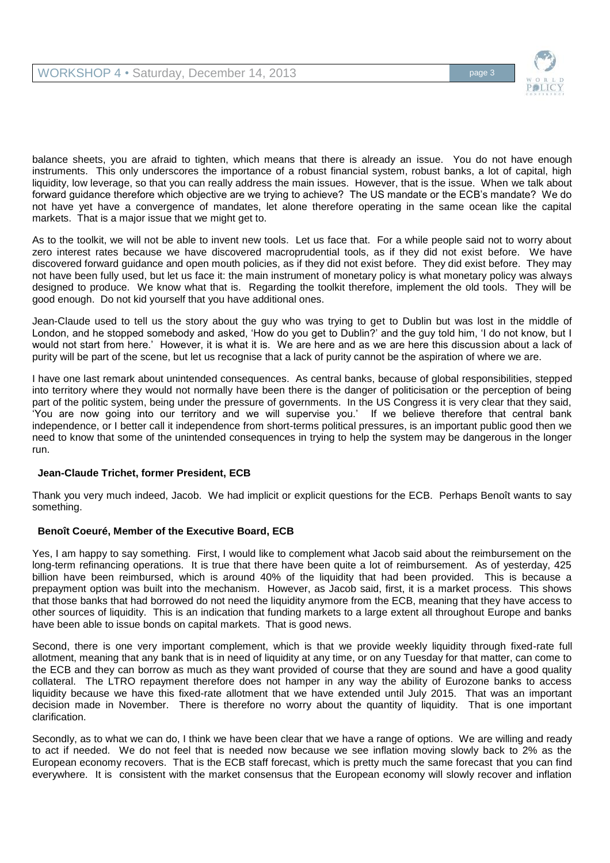

balance sheets, you are afraid to tighten, which means that there is already an issue. You do not have enough instruments. This only underscores the importance of a robust financial system, robust banks, a lot of capital, high liquidity, low leverage, so that you can really address the main issues. However, that is the issue. When we talk about forward guidance therefore which objective are we trying to achieve? The US mandate or the ECB's mandate? We do not have yet have a convergence of mandates, let alone therefore operating in the same ocean like the capital markets. That is a major issue that we might get to.

As to the toolkit, we will not be able to invent new tools. Let us face that. For a while people said not to worry about zero interest rates because we have discovered macroprudential tools, as if they did not exist before. We have discovered forward guidance and open mouth policies, as if they did not exist before. They did exist before. They may not have been fully used, but let us face it: the main instrument of monetary policy is what monetary policy was always designed to produce. We know what that is. Regarding the toolkit therefore, implement the old tools. They will be good enough. Do not kid yourself that you have additional ones.

Jean-Claude used to tell us the story about the guy who was trying to get to Dublin but was lost in the middle of London, and he stopped somebody and asked, 'How do you get to Dublin?' and the guy told him, 'I do not know, but I would not start from here.' However, it is what it is. We are here and as we are here this discussion about a lack of purity will be part of the scene, but let us recognise that a lack of purity cannot be the aspiration of where we are.

I have one last remark about unintended consequences. As central banks, because of global responsibilities, stepped into territory where they would not normally have been there is the danger of politicisation or the perception of being part of the politic system, being under the pressure of governments. In the US Congress it is very clear that they said, 'You are now going into our territory and we will supervise you.' If we believe therefore that central bank independence, or I better call it independence from short-terms political pressures, is an important public good then we need to know that some of the unintended consequences in trying to help the system may be dangerous in the longer run.

# **Jean-Claude Trichet, former President, ECB**

Thank you very much indeed, Jacob. We had implicit or explicit questions for the ECB. Perhaps Benoît wants to say something.

# **Benoît Coeuré, Member of the Executive Board, ECB**

Yes, I am happy to say something. First, I would like to complement what Jacob said about the reimbursement on the long-term refinancing operations. It is true that there have been quite a lot of reimbursement. As of yesterday, 425 billion have been reimbursed, which is around 40% of the liquidity that had been provided. This is because a prepayment option was built into the mechanism. However, as Jacob said, first, it is a market process. This shows that those banks that had borrowed do not need the liquidity anymore from the ECB, meaning that they have access to other sources of liquidity. This is an indication that funding markets to a large extent all throughout Europe and banks have been able to issue bonds on capital markets. That is good news.

Second, there is one very important complement, which is that we provide weekly liquidity through fixed-rate full allotment, meaning that any bank that is in need of liquidity at any time, or on any Tuesday for that matter, can come to the ECB and they can borrow as much as they want provided of course that they are sound and have a good quality collateral. The LTRO repayment therefore does not hamper in any way the ability of Eurozone banks to access liquidity because we have this fixed-rate allotment that we have extended until July 2015. That was an important decision made in November. There is therefore no worry about the quantity of liquidity. That is one important clarification.

Secondly, as to what we can do, I think we have been clear that we have a range of options. We are willing and ready to act if needed. We do not feel that is needed now because we see inflation moving slowly back to 2% as the European economy recovers. That is the ECB staff forecast, which is pretty much the same forecast that you can find everywhere. It is consistent with the market consensus that the European economy will slowly recover and inflation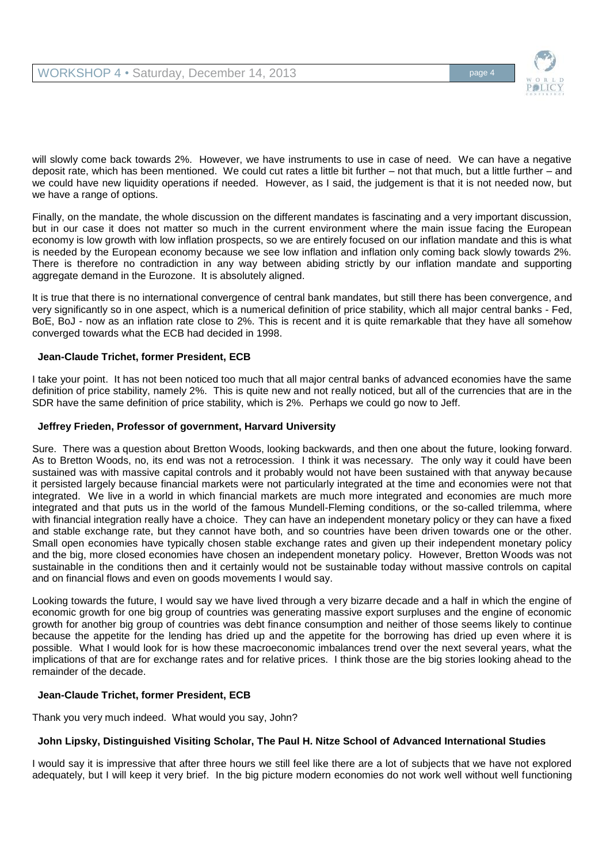

will slowly come back towards 2%. However, we have instruments to use in case of need. We can have a negative deposit rate, which has been mentioned. We could cut rates a little bit further – not that much, but a little further – and we could have new liquidity operations if needed. However, as I said, the judgement is that it is not needed now, but we have a range of options.

Finally, on the mandate, the whole discussion on the different mandates is fascinating and a very important discussion, but in our case it does not matter so much in the current environment where the main issue facing the European economy is low growth with low inflation prospects, so we are entirely focused on our inflation mandate and this is what is needed by the European economy because we see low inflation and inflation only coming back slowly towards 2%. There is therefore no contradiction in any way between abiding strictly by our inflation mandate and supporting aggregate demand in the Eurozone. It is absolutely aligned.

It is true that there is no international convergence of central bank mandates, but still there has been convergence, and very significantly so in one aspect, which is a numerical definition of price stability, which all major central banks - Fed, BoE, BoJ - now as an inflation rate close to 2%. This is recent and it is quite remarkable that they have all somehow converged towards what the ECB had decided in 1998.

## **Jean-Claude Trichet, former President, ECB**

I take your point. It has not been noticed too much that all major central banks of advanced economies have the same definition of price stability, namely 2%. This is quite new and not really noticed, but all of the currencies that are in the SDR have the same definition of price stability, which is 2%. Perhaps we could go now to Jeff.

## **Jeffrey Frieden, Professor of government, Harvard University**

Sure. There was a question about Bretton Woods, looking backwards, and then one about the future, looking forward. As to Bretton Woods, no, its end was not a retrocession. I think it was necessary. The only way it could have been sustained was with massive capital controls and it probably would not have been sustained with that anyway because it persisted largely because financial markets were not particularly integrated at the time and economies were not that integrated. We live in a world in which financial markets are much more integrated and economies are much more integrated and that puts us in the world of the famous Mundell-Fleming conditions, or the so-called trilemma, where with financial integration really have a choice. They can have an independent monetary policy or they can have a fixed and stable exchange rate, but they cannot have both, and so countries have been driven towards one or the other. Small open economies have typically chosen stable exchange rates and given up their independent monetary policy and the big, more closed economies have chosen an independent monetary policy. However, Bretton Woods was not sustainable in the conditions then and it certainly would not be sustainable today without massive controls on capital and on financial flows and even on goods movements I would say.

Looking towards the future, I would say we have lived through a very bizarre decade and a half in which the engine of economic growth for one big group of countries was generating massive export surpluses and the engine of economic growth for another big group of countries was debt finance consumption and neither of those seems likely to continue because the appetite for the lending has dried up and the appetite for the borrowing has dried up even where it is possible. What I would look for is how these macroeconomic imbalances trend over the next several years, what the implications of that are for exchange rates and for relative prices. I think those are the big stories looking ahead to the remainder of the decade.

# **Jean-Claude Trichet, former President, ECB**

Thank you very much indeed. What would you say, John?

# **John Lipsky, Distinguished Visiting Scholar, The Paul H. Nitze School of Advanced International Studies**

I would say it is impressive that after three hours we still feel like there are a lot of subjects that we have not explored adequately, but I will keep it very brief. In the big picture modern economies do not work well without well functioning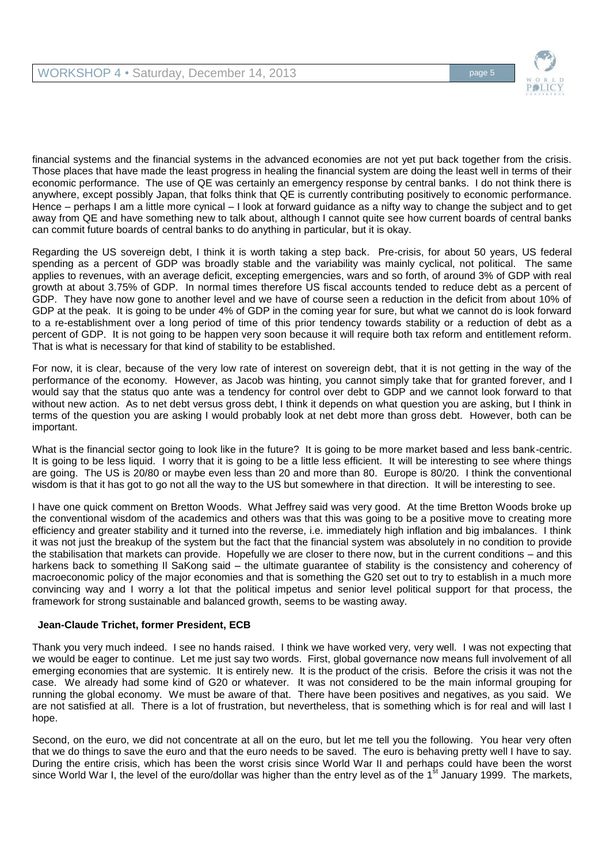

financial systems and the financial systems in the advanced economies are not yet put back together from the crisis. Those places that have made the least progress in healing the financial system are doing the least well in terms of their economic performance. The use of QE was certainly an emergency response by central banks. I do not think there is anywhere, except possibly Japan, that folks think that QE is currently contributing positively to economic performance. Hence – perhaps I am a little more cynical – I look at forward guidance as a nifty way to change the subject and to get away from QE and have something new to talk about, although I cannot quite see how current boards of central banks can commit future boards of central banks to do anything in particular, but it is okay.

Regarding the US sovereign debt, I think it is worth taking a step back. Pre-crisis, for about 50 years, US federal spending as a percent of GDP was broadly stable and the variability was mainly cyclical, not political. The same applies to revenues, with an average deficit, excepting emergencies, wars and so forth, of around 3% of GDP with real growth at about 3.75% of GDP. In normal times therefore US fiscal accounts tended to reduce debt as a percent of GDP. They have now gone to another level and we have of course seen a reduction in the deficit from about 10% of GDP at the peak. It is going to be under 4% of GDP in the coming year for sure, but what we cannot do is look forward to a re-establishment over a long period of time of this prior tendency towards stability or a reduction of debt as a percent of GDP. It is not going to be happen very soon because it will require both tax reform and entitlement reform. That is what is necessary for that kind of stability to be established.

For now, it is clear, because of the very low rate of interest on sovereign debt, that it is not getting in the way of the performance of the economy. However, as Jacob was hinting, you cannot simply take that for granted forever, and I would say that the status quo ante was a tendency for control over debt to GDP and we cannot look forward to that without new action. As to net debt versus gross debt, I think it depends on what question you are asking, but I think in terms of the question you are asking I would probably look at net debt more than gross debt. However, both can be important.

What is the financial sector going to look like in the future? It is going to be more market based and less bank-centric. It is going to be less liquid. I worry that it is going to be a little less efficient. It will be interesting to see where things are going. The US is 20/80 or maybe even less than 20 and more than 80. Europe is 80/20. I think the conventional wisdom is that it has got to go not all the way to the US but somewhere in that direction. It will be interesting to see.

I have one quick comment on Bretton Woods. What Jeffrey said was very good. At the time Bretton Woods broke up the conventional wisdom of the academics and others was that this was going to be a positive move to creating more efficiency and greater stability and it turned into the reverse, i.e. immediately high inflation and big imbalances. I think it was not just the breakup of the system but the fact that the financial system was absolutely in no condition to provide the stabilisation that markets can provide. Hopefully we are closer to there now, but in the current conditions – and this harkens back to something II SaKong said – the ultimate guarantee of stability is the consistency and coherency of macroeconomic policy of the major economies and that is something the G20 set out to try to establish in a much more convincing way and I worry a lot that the political impetus and senior level political support for that process, the framework for strong sustainable and balanced growth, seems to be wasting away.

# **Jean-Claude Trichet, former President, ECB**

Thank you very much indeed. I see no hands raised. I think we have worked very, very well. I was not expecting that we would be eager to continue. Let me just say two words. First, global governance now means full involvement of all emerging economies that are systemic. It is entirely new. It is the product of the crisis. Before the crisis it was not the case. We already had some kind of G20 or whatever. It was not considered to be the main informal grouping for running the global economy. We must be aware of that. There have been positives and negatives, as you said. We are not satisfied at all. There is a lot of frustration, but nevertheless, that is something which is for real and will last I hope.

Second, on the euro, we did not concentrate at all on the euro, but let me tell you the following. You hear very often that we do things to save the euro and that the euro needs to be saved. The euro is behaving pretty well I have to say. During the entire crisis, which has been the worst crisis since World War II and perhaps could have been the worst since World War I, the level of the euro/dollar was higher than the entry level as of the 1<sup>st</sup> January 1999. The markets,